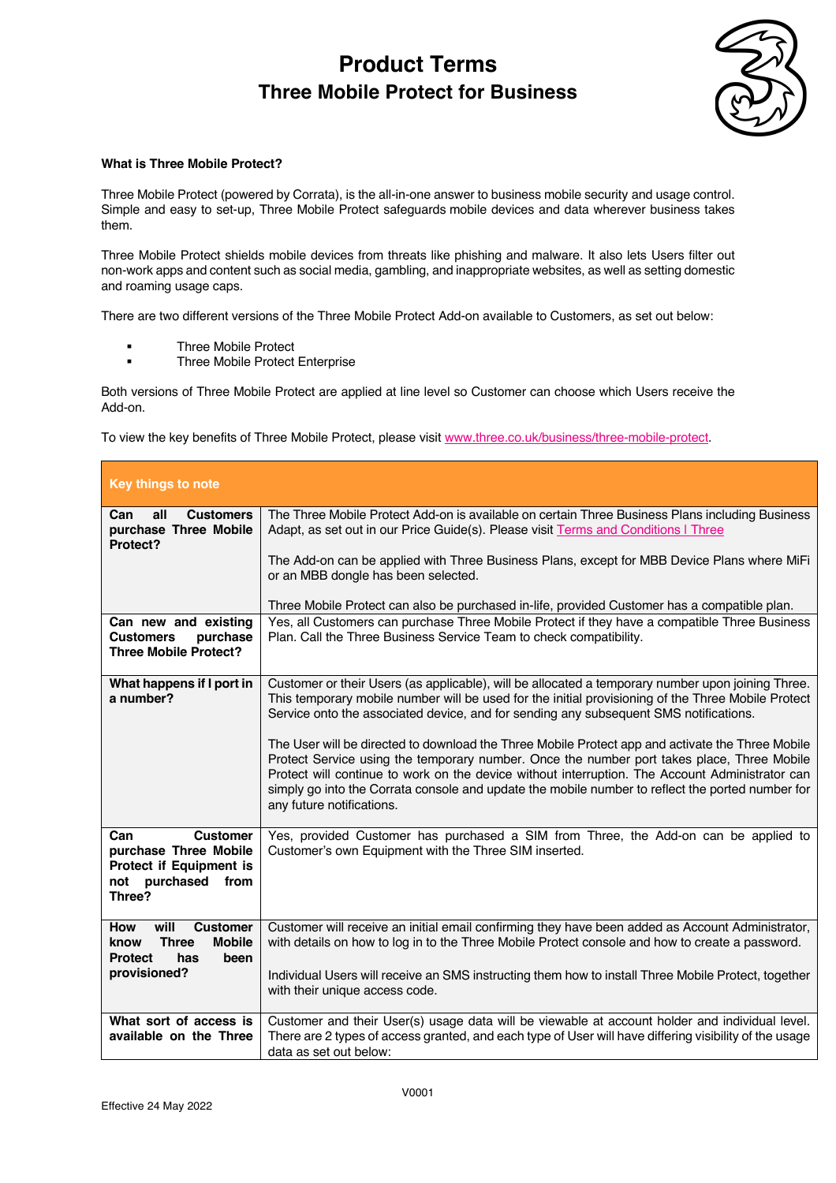

### **What is Three Mobile Protect?**

Three Mobile Protect (powered by Corrata), is the all-in-one answer to business mobile security and usage control. Simple and easy to set-up, Three Mobile Protect safeguards mobile devices and data wherever business takes them.

Three Mobile Protect shields mobile devices from threats like phishing and malware. It also lets Users filter out non-work apps and content such as social media, gambling, and inappropriate websites, as well as setting domestic and roaming usage caps.

There are two different versions of the Three Mobile Protect Add-on available to Customers, as set out below:

- § Three Mobile Protect
- § Three Mobile Protect Enterprise

Both versions of Three Mobile Protect are applied at line level so Customer can choose which Users receive the Add-on.

To view the key benefits of Three Mobile Protect, please visit www.three.co.uk/business/three-mobile-protect.

| Key things to note                                                                                              |                                                                                                                                                                                                                                                                                                                                                                                                                                                                                                    |
|-----------------------------------------------------------------------------------------------------------------|----------------------------------------------------------------------------------------------------------------------------------------------------------------------------------------------------------------------------------------------------------------------------------------------------------------------------------------------------------------------------------------------------------------------------------------------------------------------------------------------------|
| all<br><b>Customers</b><br>Can<br>purchase Three Mobile<br>Protect?                                             | The Three Mobile Protect Add-on is available on certain Three Business Plans including Business<br>Adapt, as set out in our Price Guide(s). Please visit Terms and Conditions   Three                                                                                                                                                                                                                                                                                                              |
|                                                                                                                 | The Add-on can be applied with Three Business Plans, except for MBB Device Plans where MiFi<br>or an MBB dongle has been selected.                                                                                                                                                                                                                                                                                                                                                                 |
|                                                                                                                 | Three Mobile Protect can also be purchased in-life, provided Customer has a compatible plan.                                                                                                                                                                                                                                                                                                                                                                                                       |
| Can new and existing<br><b>Customers</b><br>purchase<br><b>Three Mobile Protect?</b>                            | Yes, all Customers can purchase Three Mobile Protect if they have a compatible Three Business<br>Plan. Call the Three Business Service Team to check compatibility.                                                                                                                                                                                                                                                                                                                                |
| What happens if I port in<br>a number?                                                                          | Customer or their Users (as applicable), will be allocated a temporary number upon joining Three.<br>This temporary mobile number will be used for the initial provisioning of the Three Mobile Protect<br>Service onto the associated device, and for sending any subsequent SMS notifications.<br>The User will be directed to download the Three Mobile Protect app and activate the Three Mobile<br>Protect Service using the temporary number. Once the number port takes place, Three Mobile |
|                                                                                                                 | Protect will continue to work on the device without interruption. The Account Administrator can<br>simply go into the Corrata console and update the mobile number to reflect the ported number for<br>any future notifications.                                                                                                                                                                                                                                                                   |
| <b>Customer</b><br>Can<br>purchase Three Mobile<br>Protect if Equipment is<br>not purchased<br>from<br>Three?   | Yes, provided Customer has purchased a SIM from Three, the Add-on can be applied to<br>Customer's own Equipment with the Three SIM inserted.                                                                                                                                                                                                                                                                                                                                                       |
| <b>Customer</b><br>will<br><b>How</b><br><b>Mobile</b><br><b>Three</b><br>know<br><b>Protect</b><br>has<br>been | Customer will receive an initial email confirming they have been added as Account Administrator,<br>with details on how to log in to the Three Mobile Protect console and how to create a password.                                                                                                                                                                                                                                                                                                |
| provisioned?                                                                                                    | Individual Users will receive an SMS instructing them how to install Three Mobile Protect, together<br>with their unique access code.                                                                                                                                                                                                                                                                                                                                                              |
| What sort of access is<br>available on the Three                                                                | Customer and their User(s) usage data will be viewable at account holder and individual level.<br>There are 2 types of access granted, and each type of User will have differing visibility of the usage<br>data as set out below:                                                                                                                                                                                                                                                                 |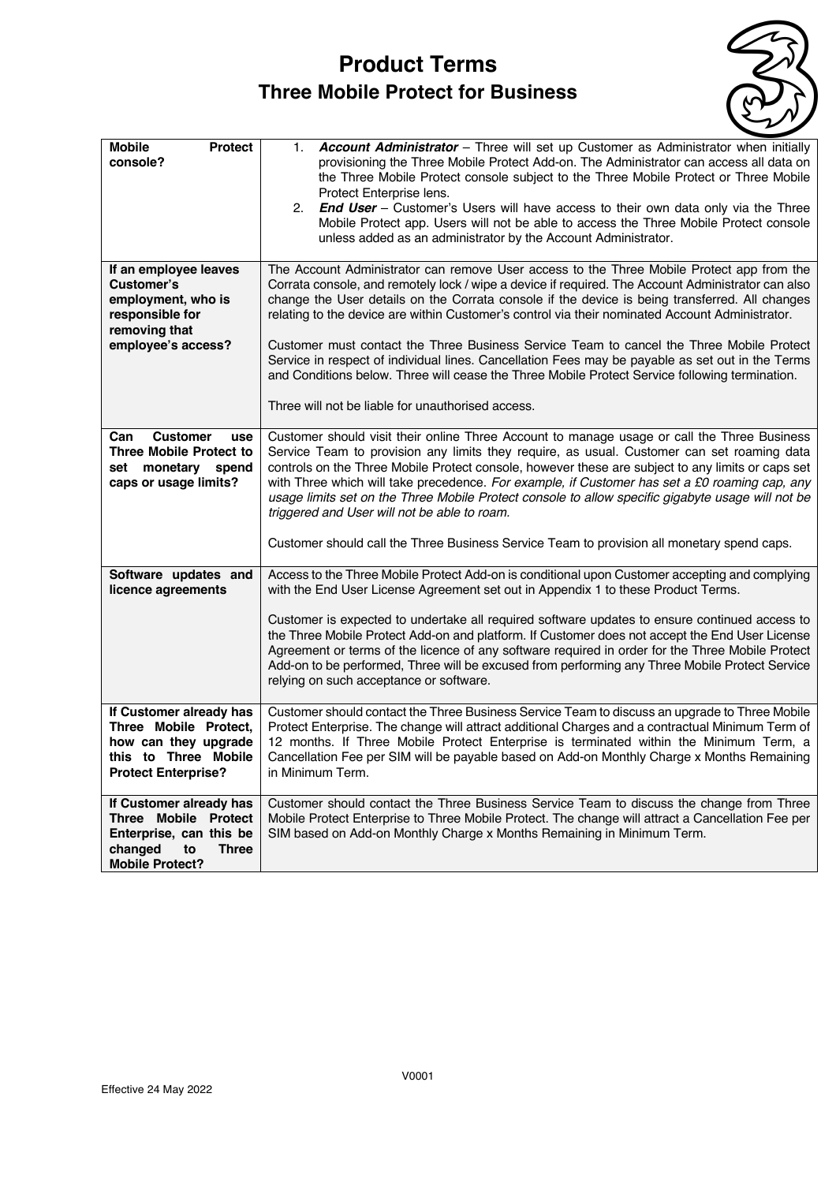

| <b>Mobile</b><br><b>Protect</b><br>console?                     | Account Administrator - Three will set up Customer as Administrator when initially<br>1.<br>provisioning the Three Mobile Protect Add-on. The Administrator can access all data on                                                                                                             |
|-----------------------------------------------------------------|------------------------------------------------------------------------------------------------------------------------------------------------------------------------------------------------------------------------------------------------------------------------------------------------|
|                                                                 | the Three Mobile Protect console subject to the Three Mobile Protect or Three Mobile                                                                                                                                                                                                           |
|                                                                 | Protect Enterprise lens.<br>2.<br><b>End User</b> – Customer's Users will have access to their own data only via the Three                                                                                                                                                                     |
|                                                                 | Mobile Protect app. Users will not be able to access the Three Mobile Protect console<br>unless added as an administrator by the Account Administrator.                                                                                                                                        |
|                                                                 |                                                                                                                                                                                                                                                                                                |
| If an employee leaves<br>Customer's                             | The Account Administrator can remove User access to the Three Mobile Protect app from the<br>Corrata console, and remotely lock / wipe a device if required. The Account Administrator can also                                                                                                |
| employment, who is<br>responsible for<br>removing that          | change the User details on the Corrata console if the device is being transferred. All changes<br>relating to the device are within Customer's control via their nominated Account Administrator.                                                                                              |
| employee's access?                                              | Customer must contact the Three Business Service Team to cancel the Three Mobile Protect<br>Service in respect of individual lines. Cancellation Fees may be payable as set out in the Terms<br>and Conditions below. Three will cease the Three Mobile Protect Service following termination. |
|                                                                 | Three will not be liable for unauthorised access.                                                                                                                                                                                                                                              |
| <b>Customer</b><br>Can<br>use<br><b>Three Mobile Protect to</b> | Customer should visit their online Three Account to manage usage or call the Three Business<br>Service Team to provision any limits they require, as usual. Customer can set roaming data                                                                                                      |
| set<br>monetary<br>spend<br>caps or usage limits?               | controls on the Three Mobile Protect console, however these are subject to any limits or caps set<br>with Three which will take precedence. For example, if Customer has set a £0 roaming cap, any                                                                                             |
|                                                                 | usage limits set on the Three Mobile Protect console to allow specific gigabyte usage will not be<br>triggered and User will not be able to roam.                                                                                                                                              |
|                                                                 | Customer should call the Three Business Service Team to provision all monetary spend caps.                                                                                                                                                                                                     |
| Software updates and<br>licence agreements                      | Access to the Three Mobile Protect Add-on is conditional upon Customer accepting and complying<br>with the End User License Agreement set out in Appendix 1 to these Product Terms.                                                                                                            |
|                                                                 | Customer is expected to undertake all required software updates to ensure continued access to                                                                                                                                                                                                  |
|                                                                 | the Three Mobile Protect Add-on and platform. If Customer does not accept the End User License<br>Agreement or terms of the licence of any software required in order for the Three Mobile Protect                                                                                             |
|                                                                 | Add-on to be performed, Three will be excused from performing any Three Mobile Protect Service<br>relying on such acceptance or software.                                                                                                                                                      |
| If Customer already has<br>Three Mobile Protect,                | Customer should contact the Three Business Service Team to discuss an upgrade to Three Mobile<br>Protect Enterprise. The change will attract additional Charges and a contractual Minimum Term of                                                                                              |
| how can they upgrade                                            | 12 months. If Three Mobile Protect Enterprise is terminated within the Minimum Term, a                                                                                                                                                                                                         |
| this to Three Mobile<br><b>Protect Enterprise?</b>              | Cancellation Fee per SIM will be payable based on Add-on Monthly Charge x Months Remaining<br>in Minimum Term.                                                                                                                                                                                 |
| If Customer already has<br>Three Mobile Protect                 | Customer should contact the Three Business Service Team to discuss the change from Three<br>Mobile Protect Enterprise to Three Mobile Protect. The change will attract a Cancellation Fee per                                                                                                  |
| Enterprise, can this be                                         | SIM based on Add-on Monthly Charge x Months Remaining in Minimum Term.                                                                                                                                                                                                                         |
| <b>Three</b><br>changed<br>to<br><b>Mobile Protect?</b>         |                                                                                                                                                                                                                                                                                                |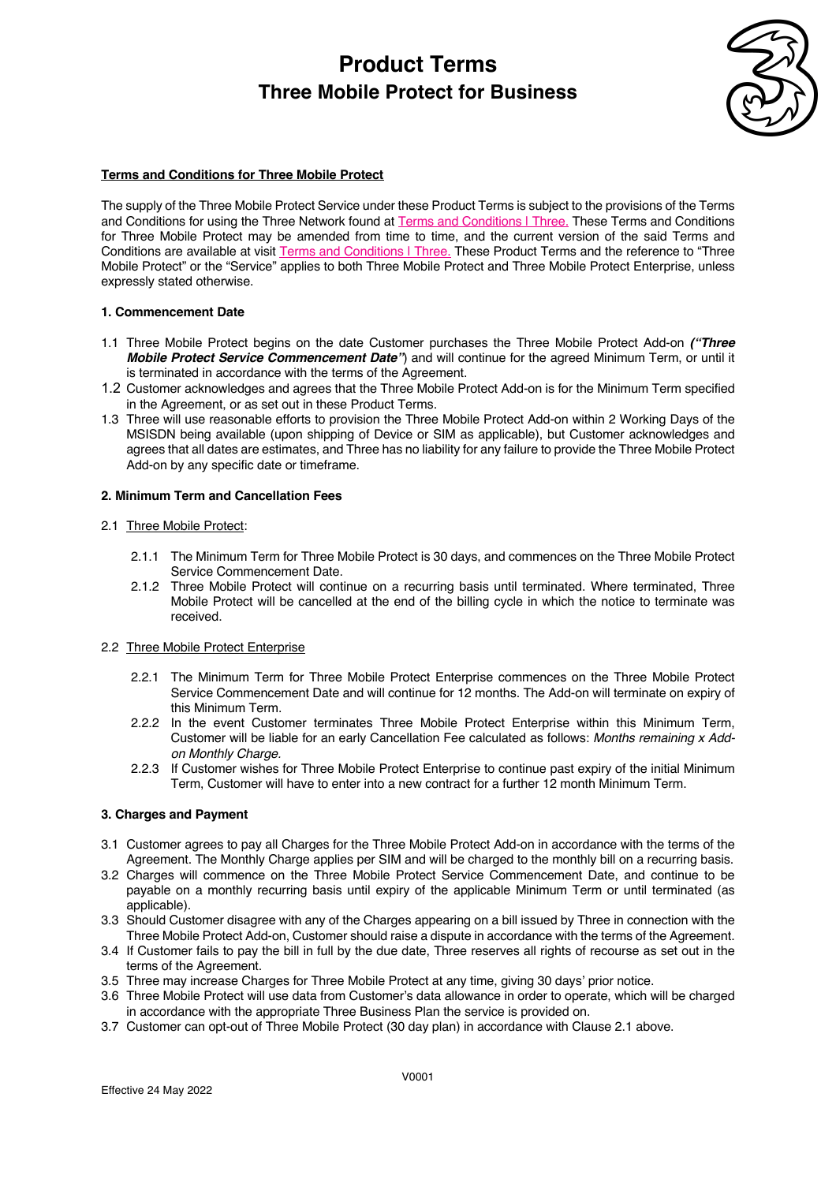

### **Terms and Conditions for Three Mobile Protect**

The supply of the Three Mobile Protect Service under these Product Terms is subject to the provisions of the Terms and Conditions for using the Three Network found at Terms and Conditions | Three. These Terms and Conditions for Three Mobile Protect may be amended from time to time, and the current version of the said Terms and Conditions are available at visit Terms and Conditions | Three. These Product Terms and the reference to "Three Mobile Protect" or the "Service" applies to both Three Mobile Protect and Three Mobile Protect Enterprise, unless expressly stated otherwise.

#### **1. Commencement Date**

- 1.1 Three Mobile Protect begins on the date Customer purchases the Three Mobile Protect Add-on *("Three Mobile Protect Service Commencement Date"*) and will continue for the agreed Minimum Term, or until it is terminated in accordance with the terms of the Agreement.
- 1.2 Customer acknowledges and agrees that the Three Mobile Protect Add-on is for the Minimum Term specified in the Agreement, or as set out in these Product Terms.
- 1.3 Three will use reasonable efforts to provision the Three Mobile Protect Add-on within 2 Working Days of the MSISDN being available (upon shipping of Device or SIM as applicable), but Customer acknowledges and agrees that all dates are estimates, and Three has no liability for any failure to provide the Three Mobile Protect Add-on by any specific date or timeframe.

#### **2. Minimum Term and Cancellation Fees**

#### 2.1 Three Mobile Protect:

- 2.1.1 The Minimum Term for Three Mobile Protect is 30 days, and commences on the Three Mobile Protect Service Commencement Date.
- 2.1.2 Three Mobile Protect will continue on a recurring basis until terminated. Where terminated, Three Mobile Protect will be cancelled at the end of the billing cycle in which the notice to terminate was received.

#### 2.2 Three Mobile Protect Enterprise

- 2.2.1 The Minimum Term for Three Mobile Protect Enterprise commences on the Three Mobile Protect Service Commencement Date and will continue for 12 months. The Add-on will terminate on expiry of this Minimum Term.
- 2.2.2 In the event Customer terminates Three Mobile Protect Enterprise within this Minimum Term, Customer will be liable for an early Cancellation Fee calculated as follows: *Months remaining x Addon Monthly Charge.*
- 2.2.3 If Customer wishes for Three Mobile Protect Enterprise to continue past expiry of the initial Minimum Term, Customer will have to enter into a new contract for a further 12 month Minimum Term.

#### **3. Charges and Payment**

- 3.1 Customer agrees to pay all Charges for the Three Mobile Protect Add-on in accordance with the terms of the Agreement. The Monthly Charge applies per SIM and will be charged to the monthly bill on a recurring basis.
- 3.2 Charges will commence on the Three Mobile Protect Service Commencement Date, and continue to be payable on a monthly recurring basis until expiry of the applicable Minimum Term or until terminated (as applicable).
- 3.3 Should Customer disagree with any of the Charges appearing on a bill issued by Three in connection with the Three Mobile Protect Add-on, Customer should raise a dispute in accordance with the terms of the Agreement.
- 3.4 If Customer fails to pay the bill in full by the due date, Three reserves all rights of recourse as set out in the terms of the Agreement.
- 3.5 Three may increase Charges for Three Mobile Protect at any time, giving 30 days' prior notice.
- 3.6 Three Mobile Protect will use data from Customer's data allowance in order to operate, which will be charged in accordance with the appropriate Three Business Plan the service is provided on.
- 3.7 Customer can opt-out of Three Mobile Protect (30 day plan) in accordance with Clause 2.1 above.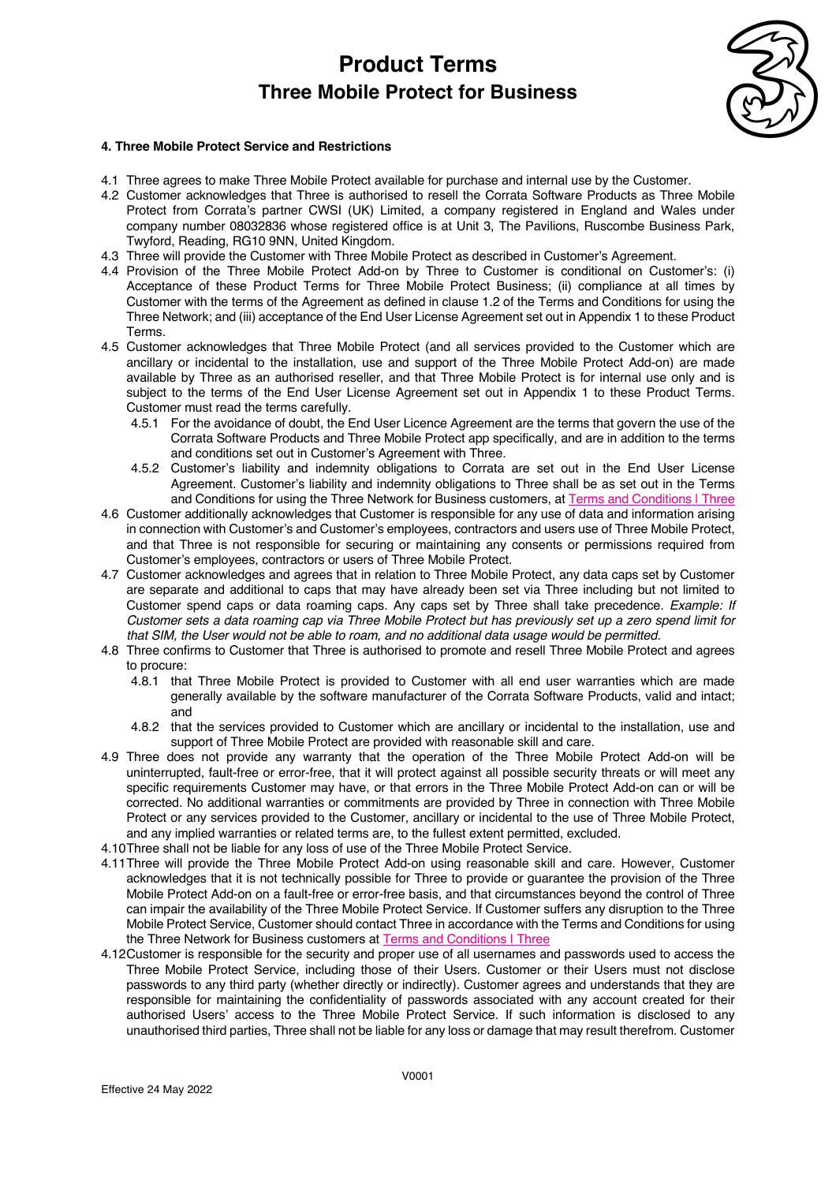

### **4. Three Mobile Protect Service and Restrictions**

- 4.1 Three agrees to make Three Mobile Protect available for purchase and internal use by the Customer.
- 4.2 Customer acknowledges that Three is authorised to resell the Corrata Software Products as Three Mobile Protect from Corrata's partner CWSI (UK) Limited, a company registered in England and Wales under company number 08032836 whose registered office is at Unit 3, The Pavilions, Ruscombe Business Park, Twyford, Reading, RG10 9NN, United Kingdom.
- 4.3 Three will provide the Customer with Three Mobile Protect as described in Customer's Agreement.
- 4.4 Provision of the Three Mobile Protect Add-on by Three to Customer is conditional on Customer's: (i) Acceptance of these Product Terms for Three Mobile Protect Business; (ii) compliance at all times by Customer with the terms of the Agreement as defined in clause 1.2 of the Terms and Conditions for using the Three Network; and (iii) acceptance of the End User License Agreement set out in Appendix 1 to these Product Terms.
- 4.5 Customer acknowledges that Three Mobile Protect (and all services provided to the Customer which are ancillary or incidental to the installation, use and support of the Three Mobile Protect Add-on) are made available by Three as an authorised reseller, and that Three Mobile Protect is for internal use only and is subject to the terms of the End User License Agreement set out in Appendix 1 to these Product Terms. Customer must read the terms carefully.
	- 4.5.1 For the avoidance of doubt, the End User Licence Agreement are the terms that govern the use of the Corrata Software Products and Three Mobile Protect app specifically, and are in addition to the terms and conditions set out in Customer's Agreement with Three.
	- 4.5.2 Customer's liability and indemnity obligations to Corrata are set out in the End User License Agreement. Customer's liability and indemnity obligations to Three shall be as set out in the Terms and Conditions for using the Three Network for Business customers, at Terms and Conditions | Three
- 4.6 Customer additionally acknowledges that Customer is responsible for any use of data and information arising in connection with Customer's and Customer's employees, contractors and users use of Three Mobile Protect, and that Three is not responsible for securing or maintaining any consents or permissions required from Customer's employees, contractors or users of Three Mobile Protect.
- 4.7 Customer acknowledges and agrees that in relation to Three Mobile Protect, any data caps set by Customer are separate and additional to caps that may have already been set via Three including but not limited to Customer spend caps or data roaming caps. Any caps set by Three shall take precedence. *Example: If Customer sets a data roaming cap via Three Mobile Protect but has previously set up a zero spend limit for that SIM, the User would not be able to roam, and no additional data usage would be permitted.*
- 4.8 Three confirms to Customer that Three is authorised to promote and resell Three Mobile Protect and agrees to procure:
	- 4.8.1 that Three Mobile Protect is provided to Customer with all end user warranties which are made generally available by the software manufacturer of the Corrata Software Products, valid and intact; and
	- 4.8.2 that the services provided to Customer which are ancillary or incidental to the installation, use and support of Three Mobile Protect are provided with reasonable skill and care.
- 4.9 Three does not provide any warranty that the operation of the Three Mobile Protect Add-on will be uninterrupted, fault-free or error-free, that it will protect against all possible security threats or will meet any specific requirements Customer may have, or that errors in the Three Mobile Protect Add-on can or will be corrected. No additional warranties or commitments are provided by Three in connection with Three Mobile Protect or any services provided to the Customer, ancillary or incidental to the use of Three Mobile Protect, and any implied warranties or related terms are, to the fullest extent permitted, excluded.
- 4.10Three shall not be liable for any loss of use of the Three Mobile Protect Service.
- 4.11Three will provide the Three Mobile Protect Add-on using reasonable skill and care. However, Customer acknowledges that it is not technically possible for Three to provide or guarantee the provision of the Three Mobile Protect Add-on on a fault-free or error-free basis, and that circumstances beyond the control of Three can impair the availability of the Three Mobile Protect Service. If Customer suffers any disruption to the Three Mobile Protect Service, Customer should contact Three in accordance with the Terms and Conditions for using the Three Network for Business customers at Terms and Conditions | Three
- 4.12Customer is responsible for the security and proper use of all usernames and passwords used to access the Three Mobile Protect Service, including those of their Users. Customer or their Users must not disclose passwords to any third party (whether directly or indirectly). Customer agrees and understands that they are responsible for maintaining the confidentiality of passwords associated with any account created for their authorised Users' access to the Three Mobile Protect Service. If such information is disclosed to any unauthorised third parties, Three shall not be liable for any loss or damage that may result therefrom. Customer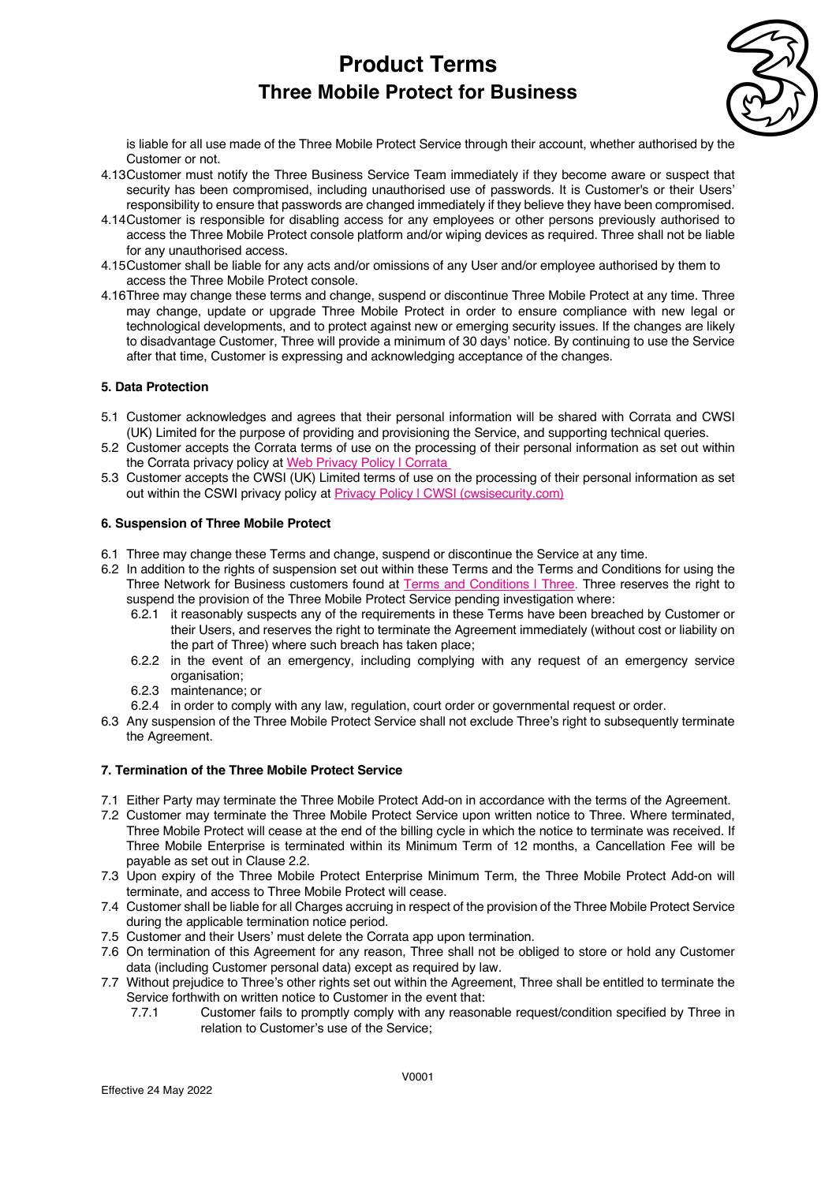

is liable for all use made of the Three Mobile Protect Service through their account, whether authorised by the Customer or not.

- 4.13Customer must notify the Three Business Service Team immediately if they become aware or suspect that security has been compromised, including unauthorised use of passwords. It is Customer's or their Users' responsibility to ensure that passwords are changed immediately if they believe they have been compromised.
- 4.14Customer is responsible for disabling access for any employees or other persons previously authorised to access the Three Mobile Protect console platform and/or wiping devices as required. Three shall not be liable for any unauthorised access.
- 4.15Customer shall be liable for any acts and/or omissions of any User and/or employee authorised by them to access the Three Mobile Protect console.
- 4.16Three may change these terms and change, suspend or discontinue Three Mobile Protect at any time. Three may change, update or upgrade Three Mobile Protect in order to ensure compliance with new legal or technological developments, and to protect against new or emerging security issues. If the changes are likely to disadvantage Customer, Three will provide a minimum of 30 days' notice. By continuing to use the Service after that time, Customer is expressing and acknowledging acceptance of the changes.

### **5. Data Protection**

- 5.1 Customer acknowledges and agrees that their personal information will be shared with Corrata and CWSI (UK) Limited for the purpose of providing and provisioning the Service, and supporting technical queries.
- 5.2 Customer accepts the Corrata terms of use on the processing of their personal information as set out within the Corrata privacy policy at Web Privacy Policy | Corrata
- 5.3 Customer accepts the CWSI (UK) Limited terms of use on the processing of their personal information as set out within the CSWI privacy policy at Privacy Policy | CWSI (cwsisecurity.com)

#### **6. Suspension of Three Mobile Protect**

- 6.1 Three may change these Terms and change, suspend or discontinue the Service at any time.
- 6.2 In addition to the rights of suspension set out within these Terms and the Terms and Conditions for using the Three Network for Business customers found at Terms and Conditions | Three. Three reserves the right to suspend the provision of the Three Mobile Protect Service pending investigation where:
	- 6.2.1 it reasonably suspects any of the requirements in these Terms have been breached by Customer or their Users, and reserves the right to terminate the Agreement immediately (without cost or liability on the part of Three) where such breach has taken place;
	- 6.2.2 in the event of an emergency, including complying with any request of an emergency service organisation:
	- 6.2.3 maintenance; or
	- 6.2.4 in order to comply with any law, regulation, court order or governmental request or order.
- 6.3 Any suspension of the Three Mobile Protect Service shall not exclude Three's right to subsequently terminate the Agreement.

#### **7. Termination of the Three Mobile Protect Service**

- 7.1 Either Party may terminate the Three Mobile Protect Add-on in accordance with the terms of the Agreement.
- 7.2 Customer may terminate the Three Mobile Protect Service upon written notice to Three. Where terminated, Three Mobile Protect will cease at the end of the billing cycle in which the notice to terminate was received. If Three Mobile Enterprise is terminated within its Minimum Term of 12 months, a Cancellation Fee will be payable as set out in Clause 2.2.
- 7.3 Upon expiry of the Three Mobile Protect Enterprise Minimum Term, the Three Mobile Protect Add-on will terminate, and access to Three Mobile Protect will cease.
- 7.4 Customer shall be liable for all Charges accruing in respect of the provision of the Three Mobile Protect Service during the applicable termination notice period.
- 7.5 Customer and their Users' must delete the Corrata app upon termination.
- 7.6 On termination of this Agreement for any reason, Three shall not be obliged to store or hold any Customer data (including Customer personal data) except as required by law.
- 7.7 Without prejudice to Three's other rights set out within the Agreement, Three shall be entitled to terminate the Service forthwith on written notice to Customer in the event that:
	- 7.7.1 Customer fails to promptly comply with any reasonable request/condition specified by Three in relation to Customer's use of the Service;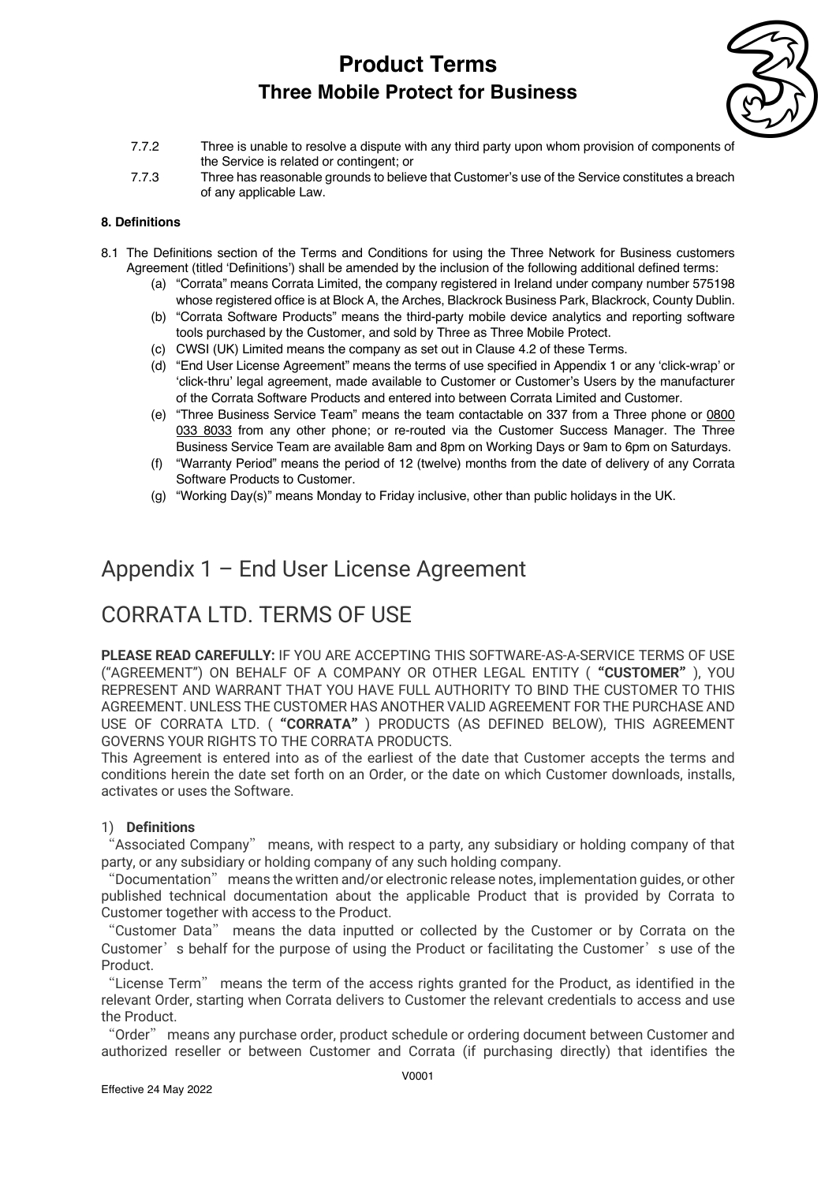

- 7.7.2 Three is unable to resolve a dispute with any third party upon whom provision of components of the Service is related or contingent; or
- 7.7.3 Three has reasonable grounds to believe that Customer's use of the Service constitutes a breach of any applicable Law.

### **8. Definitions**

- 8.1 The Definitions section of the Terms and Conditions for using the Three Network for Business customers Agreement (titled 'Definitions') shall be amended by the inclusion of the following additional defined terms:
	- (a) "Corrata" means Corrata Limited, the company registered in Ireland under company number 575198 whose registered office is at Block A, the Arches, Blackrock Business Park, Blackrock, County Dublin.
	- (b) "Corrata Software Products" means the third-party mobile device analytics and reporting software tools purchased by the Customer, and sold by Three as Three Mobile Protect.
	- (c) CWSI (UK) Limited means the company as set out in Clause 4.2 of these Terms.
	- (d) "End User License Agreement" means the terms of use specified in Appendix 1 or any 'click-wrap' or 'click-thru' legal agreement, made available to Customer or Customer's Users by the manufacturer of the Corrata Software Products and entered into between Corrata Limited and Customer.
	- (e) "Three Business Service Team" means the team contactable on 337 from a Three phone or 0800 033 8033 from any other phone; or re-routed via the Customer Success Manager. The Three Business Service Team are available 8am and 8pm on Working Days or 9am to 6pm on Saturdays.
	- (f) "Warranty Period" means the period of 12 (twelve) months from the date of delivery of any Corrata Software Products to Customer.
	- (g) "Working Day(s)" means Monday to Friday inclusive, other than public holidays in the UK.

## Appendix 1 – End User License Agreement

## CORRATA LTD. TERMS OF USE

**PLEASE READ CAREFULLY:** IF YOU ARE ACCEPTING THIS SOFTWARE-AS-A-SERVICE TERMS OF USE ("AGREEMENT") ON BEHALF OF A COMPANY OR OTHER LEGAL ENTITY ("**CUSTOMER**"), YOU REPRESENT AND WARRANT THAT YOU HAVE FULL AUTHORITY TO BIND THE CUSTOMER TO THIS AGREEMENT. UNLESS THE CUSTOMER HAS ANOTHER VALID AGREEMENT FOR THE PURCHASE AND USE OF CORRATA LTD. ("**CORRATA**") PRODUCTS (AS DEFINED BELOW), THIS AGREEMENT GOVERNS YOUR RIGHTS TO THE CORRATA PRODUCTS.

This Agreement is entered into as of the earliest of the date that Customer accepts the terms and conditions herein the date set forth on an Order, or the date on which Customer downloads, installs, activates or uses the Software.

### 1) **Definitions**

"Associated Company" means, with respect to a party, any subsidiary or holding company of that party, or any subsidiary or holding company of any such holding company.

"Documentation" means the written and/or electronic release notes, implementation guides, or other published technical documentation about the applicable Product that is provided by Corrata to Customer together with access to the Product.

"Customer Data" means the data inputted or collected by the Customer or by Corrata on the Customer's behalf for the purpose of using the Product or facilitating the Customer's use of the Product.

"License Term" means the term of the access rights granted for the Product, as identified in the relevant Order, starting when Corrata delivers to Customer the relevant credentials to access and use the Product.

"Order" means any purchase order, product schedule or ordering document between Customer and authorized reseller or between Customer and Corrata (if purchasing directly) that identifies the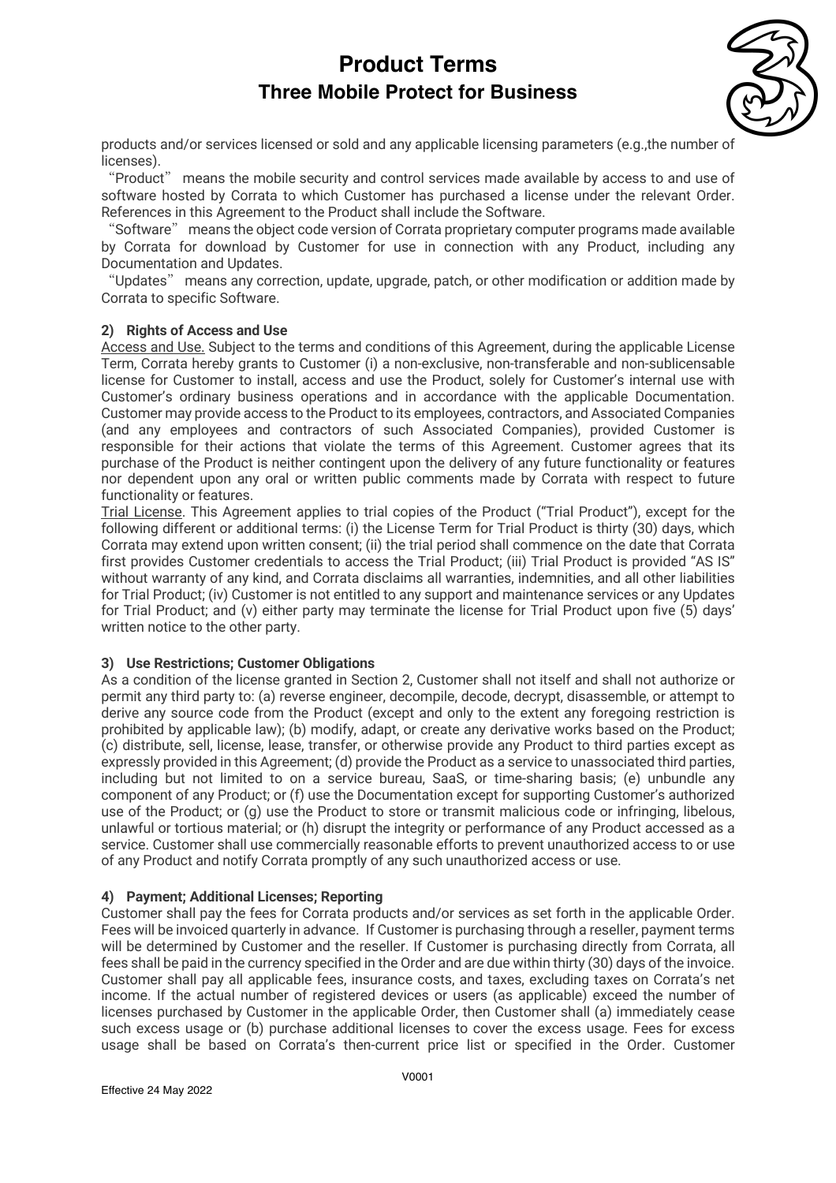

products and/or services licensed or sold and any applicable licensing parameters (e.g.,the number of licenses).

"Product" means the mobile security and control services made available by access to and use of software hosted by Corrata to which Customer has purchased a license under the relevant Order. References in this Agreement to the Product shall include the Software.

"Software" means the object code version of Corrata proprietary computer programs made available by Corrata for download by Customer for use in connection with any Product, including any Documentation and Updates.

"Updates" means any correction, update, upgrade, patch, or other modification or addition made by Corrata to specific Software.

### **2) Rights of Access and Use**

Access and Use. Subject to the terms and conditions of this Agreement, during the applicable License Term, Corrata hereby grants to Customer (i) a non-exclusive, non-transferable and non-sublicensable license for Customer to install, access and use the Product, solely for Customer's internal use with Customer's ordinary business operations and in accordance with the applicable Documentation. Customer may provide access to the Product to its employees, contractors, and Associated Companies (and any employees and contractors of such Associated Companies), provided Customer is responsible for their actions that violate the terms of this Agreement. Customer agrees that its purchase of the Product is neither contingent upon the delivery of any future functionality or features nor dependent upon any oral or written public comments made by Corrata with respect to future functionality or features.

Trial License. This Agreement applies to trial copies of the Product ("Trial Product"), except for the following different or additional terms: (i) the License Term for Trial Product is thirty (30) days, which Corrata may extend upon written consent; (ii) the trial period shall commence on the date that Corrata first provides Customer credentials to access the Trial Product; (iii) Trial Product is provided "AS IS" without warranty of any kind, and Corrata disclaims all warranties, indemnities, and all other liabilities for Trial Product; (iv) Customer is not entitled to any support and maintenance services or any Updates for Trial Product; and (v) either party may terminate the license for Trial Product upon five (5) days' written notice to the other party.

### **3) Use Restrictions; Customer Obligations**

As a condition of the license granted in Section 2, Customer shall not itself and shall not authorize or permit any third party to: (a) reverse engineer, decompile, decode, decrypt, disassemble, or attempt to derive any source code from the Product (except and only to the extent any foregoing restriction is prohibited by applicable law); (b) modify, adapt, or create any derivative works based on the Product; (c) distribute, sell, license, lease, transfer, or otherwise provide any Product to third parties except as expressly provided in this Agreement; (d) provide the Product as a service to unassociated third parties, including but not limited to on a service bureau, SaaS, or time-sharing basis; (e) unbundle any component of any Product; or (f) use the Documentation except for supporting Customer's authorized use of the Product; or (g) use the Product to store or transmit malicious code or infringing, libelous, unlawful or tortious material; or (h) disrupt the integrity or performance of any Product accessed as a service. Customer shall use commercially reasonable efforts to prevent unauthorized access to or use of any Product and notify Corrata promptly of any such unauthorized access or use.

### **4) Payment; Additional Licenses; Reporting**

Customer shall pay the fees for Corrata products and/or services as set forth in the applicable Order. Fees will be invoiced quarterly in advance. If Customer is purchasing through a reseller, payment terms will be determined by Customer and the reseller. If Customer is purchasing directly from Corrata, all fees shall be paid in the currency specified in the Order and are due within thirty (30) days of the invoice. Customer shall pay all applicable fees, insurance costs, and taxes, excluding taxes on Corrata's net income. If the actual number of registered devices or users (as applicable) exceed the number of licenses purchased by Customer in the applicable Order, then Customer shall (a) immediately cease such excess usage or (b) purchase additional licenses to cover the excess usage. Fees for excess usage shall be based on Corrata's then-current price list or specified in the Order. Customer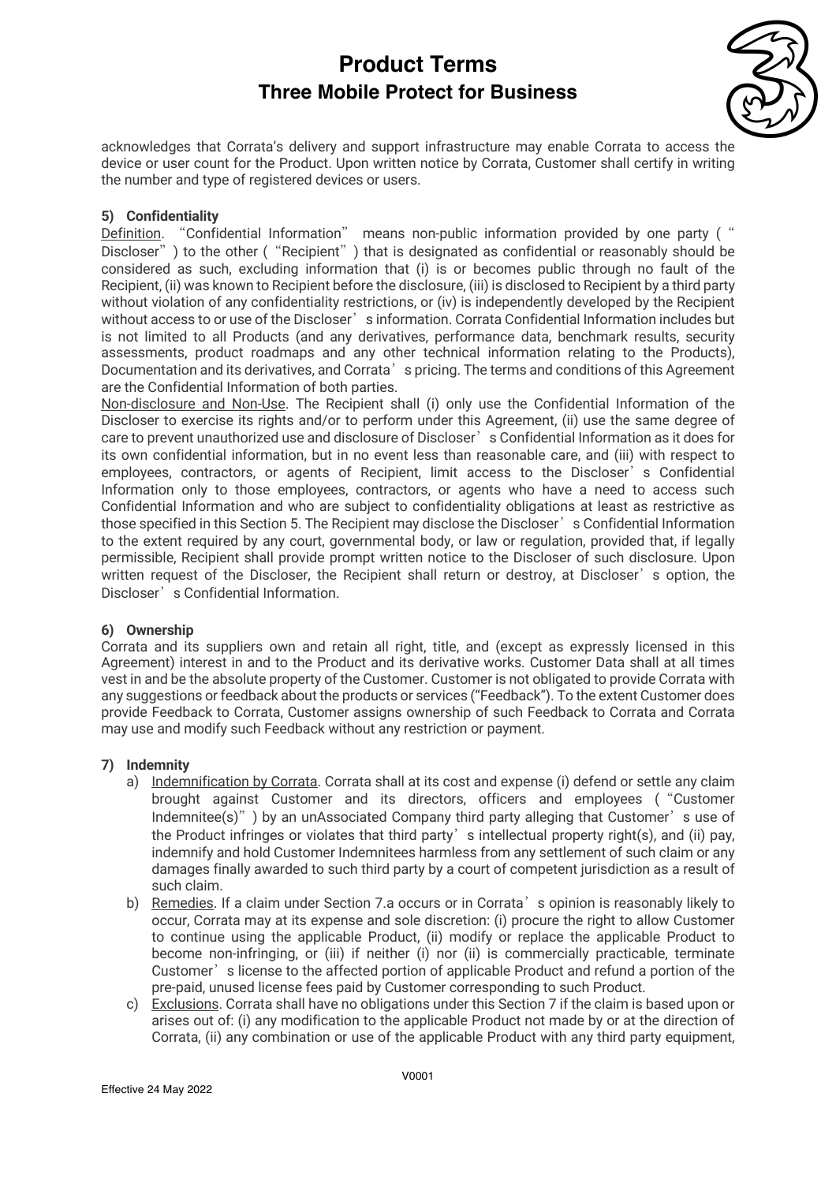

acknowledges that Corrata's delivery and support infrastructure may enable Corrata to access the device or user count for the Product. Upon written notice by Corrata, Customer shall certify in writing the number and type of registered devices or users.

### **5) Confidentiality**

Definition. "Confidential Information" means non-public information provided by one party (" Discloser") to the other ("Recipient") that is designated as confidential or reasonably should be considered as such, excluding information that (i) is or becomes public through no fault of the Recipient, (ii) was known to Recipient before the disclosure, (iii) is disclosed to Recipient by a third party without violation of any confidentiality restrictions, or (iv) is independently developed by the Recipient without access to or use of the Discloser's information. Corrata Confidential Information includes but is not limited to all Products (and any derivatives, performance data, benchmark results, security assessments, product roadmaps and any other technical information relating to the Products), Documentation and its derivatives, and Corrata's pricing. The terms and conditions of this Agreement are the Confidential Information of both parties.

Non-disclosure and Non-Use. The Recipient shall (i) only use the Confidential Information of the Discloser to exercise its rights and/or to perform under this Agreement, (ii) use the same degree of care to prevent unauthorized use and disclosure of Discloser's Confidential Information as it does for its own confidential information, but in no event less than reasonable care, and (iii) with respect to employees, contractors, or agents of Recipient, limit access to the Discloser's Confidential Information only to those employees, contractors, or agents who have a need to access such Confidential Information and who are subject to confidentiality obligations at least as restrictive as those specified in this Section 5. The Recipient may disclose the Discloser's Confidential Information to the extent required by any court, governmental body, or law or regulation, provided that, if legally permissible, Recipient shall provide prompt written notice to the Discloser of such disclosure. Upon written request of the Discloser, the Recipient shall return or destroy, at Discloser's option, the Discloser's Confidential Information.

### **6) Ownership**

Corrata and its suppliers own and retain all right, title, and (except as expressly licensed in this Agreement) interest in and to the Product and its derivative works. Customer Data shall at all times vest in and be the absolute property of the Customer. Customer is not obligated to provide Corrata with any suggestions or feedback about the products or services ("Feedback"). To the extent Customer does provide Feedback to Corrata, Customer assigns ownership of such Feedback to Corrata and Corrata may use and modify such Feedback without any restriction or payment.

### **7) Indemnity**

- a) Indemnification by Corrata. Corrata shall at its cost and expense (i) defend or settle any claim brought against Customer and its directors, officers and employees ("Customer Indemnitee(s)") by an unAssociated Company third party alleging that Customer's use of the Product infringes or violates that third party' s intellectual property right(s), and (ii) pay, indemnify and hold Customer Indemnitees harmless from any settlement of such claim or any damages finally awarded to such third party by a court of competent jurisdiction as a result of such claim.
- b) Remedies. If a claim under Section 7.a occurs or in Corrata's opinion is reasonably likely to occur, Corrata may at its expense and sole discretion: (i) procure the right to allow Customer to continue using the applicable Product, (ii) modify or replace the applicable Product to become non-infringing, or (iii) if neither (i) nor (ii) is commercially practicable, terminate Customer's license to the affected portion of applicable Product and refund a portion of the pre-paid, unused license fees paid by Customer corresponding to such Product.
- c) Exclusions. Corrata shall have no obligations under this Section 7 if the claim is based upon or arises out of: (i) any modification to the applicable Product not made by or at the direction of Corrata, (ii) any combination or use of the applicable Product with any third party equipment,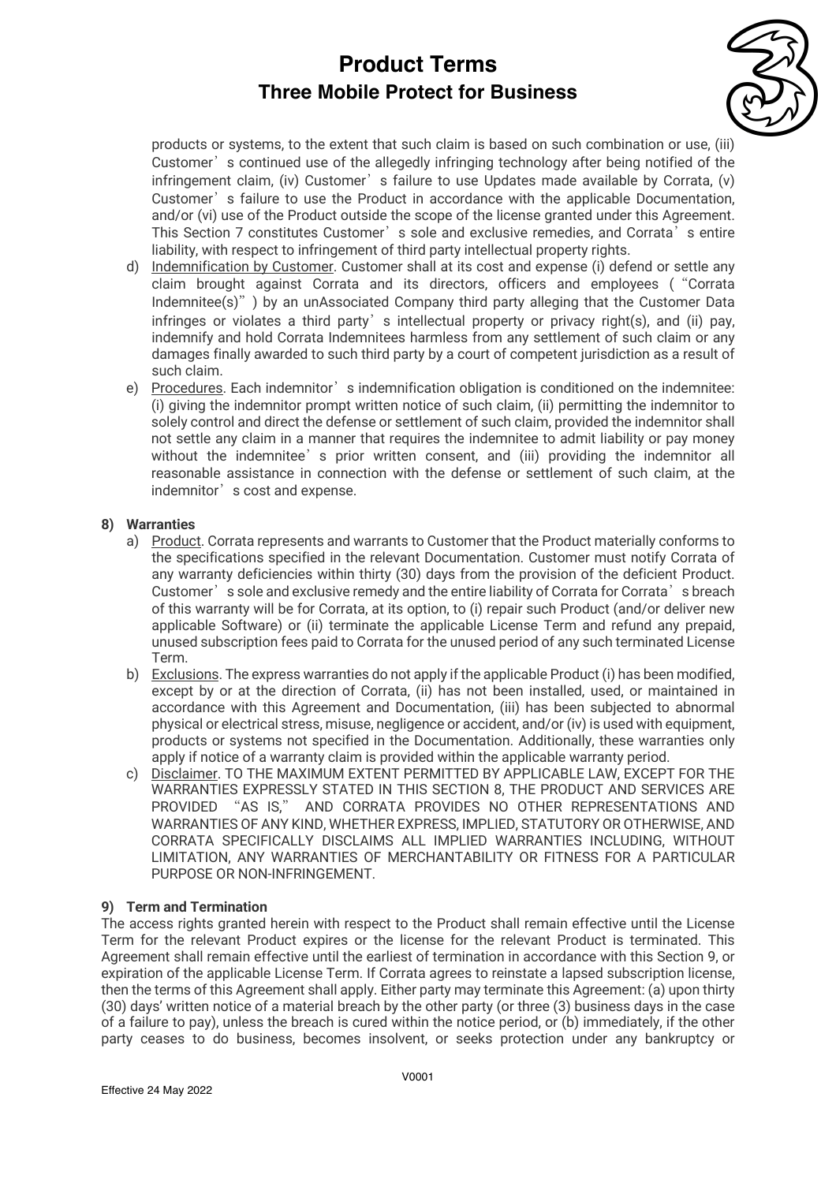

products or systems, to the extent that such claim is based on such combination or use, (iii) Customer's continued use of the allegedly infringing technology after being notified of the infringement claim, (iv) Customer's failure to use Updates made available by Corrata, (v) Customer's failure to use the Product in accordance with the applicable Documentation. and/or (vi) use of the Product outside the scope of the license granted under this Agreement. This Section 7 constitutes Customer's sole and exclusive remedies, and Corrata's entire liability, with respect to infringement of third party intellectual property rights.

- d) Indemnification by Customer. Customer shall at its cost and expense (i) defend or settle any claim brought against Corrata and its directors, officers and employees ("Corrata Indemnitee(s)") by an unAssociated Company third party alleging that the Customer Data infringes or violates a third party's intellectual property or privacy right(s), and (ii) pay, indemnify and hold Corrata Indemnitees harmless from any settlement of such claim or any damages finally awarded to such third party by a court of competent jurisdiction as a result of such claim.
- e) Procedures. Each indemnitor's indemnification obligation is conditioned on the indemnitee: (i) giving the indemnitor prompt written notice of such claim, (ii) permitting the indemnitor to solely control and direct the defense or settlement of such claim, provided the indemnitor shall not settle any claim in a manner that requires the indemnitee to admit liability or pay money without the indemnitee's prior written consent, and (iii) providing the indemnitor all reasonable assistance in connection with the defense or settlement of such claim, at the indemnitor's cost and expense.

### **8) Warranties**

- a) Product. Corrata represents and warrants to Customer that the Product materially conforms to the specifications specified in the relevant Documentation. Customer must notify Corrata of any warranty deficiencies within thirty (30) days from the provision of the deficient Product. Customer's sole and exclusive remedy and the entire liability of Corrata for Corrata's breach of this warranty will be for Corrata, at its option, to (i) repair such Product (and/or deliver new applicable Software) or (ii) terminate the applicable License Term and refund any prepaid, unused subscription fees paid to Corrata for the unused period of any such terminated License Term.
- b) Exclusions. The express warranties do not apply if the applicable Product (i) has been modified. except by or at the direction of Corrata, (ii) has not been installed, used, or maintained in accordance with this Agreement and Documentation, (iii) has been subjected to abnormal physical or electrical stress, misuse, negligence or accident, and/or (iv) is used with equipment, products or systems not specified in the Documentation. Additionally, these warranties only apply if notice of a warranty claim is provided within the applicable warranty period.
- c) Disclaimer. TO THE MAXIMUM EXTENT PERMITTED BY APPLICABLE LAW, EXCEPT FOR THE WARRANTIES EXPRESSLY STATED IN THIS SECTION 8, THE PRODUCT AND SERVICES ARE PROVIDED "AS IS," AND CORRATA PROVIDES NO OTHER REPRESENTATIONS AND WARRANTIES OF ANY KIND, WHETHER EXPRESS, IMPLIED, STATUTORY OR OTHERWISE, AND CORRATA SPECIFICALLY DISCLAIMS ALL IMPLIED WARRANTIES INCLUDING, WITHOUT LIMITATION, ANY WARRANTIES OF MERCHANTABILITY OR FITNESS FOR A PARTICULAR PURPOSE OR NON-INFRINGEMENT.

### **9) Term and Termination**

The access rights granted herein with respect to the Product shall remain effective until the License Term for the relevant Product expires or the license for the relevant Product is terminated. This Agreement shall remain effective until the earliest of termination in accordance with this Section 9, or expiration of the applicable License Term. If Corrata agrees to reinstate a lapsed subscription license, then the terms of this Agreement shall apply. Either party may terminate this Agreement: (a) upon thirty (30) days' written notice of a material breach by the other party (or three (3) business days in the case of a failure to pay), unless the breach is cured within the notice period, or (b) immediately, if the other party ceases to do business, becomes insolvent, or seeks protection under any bankruptcy or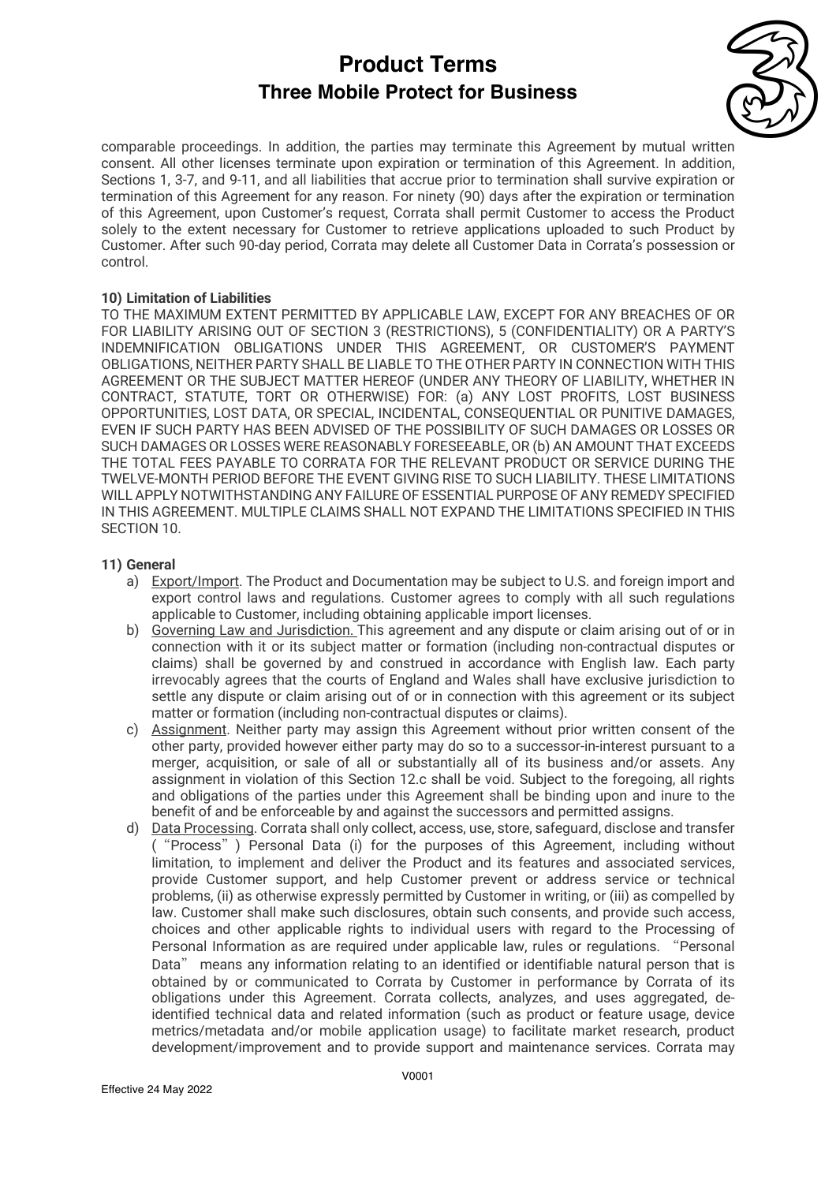

comparable proceedings. In addition, the parties may terminate this Agreement by mutual written consent. All other licenses terminate upon expiration or termination of this Agreement. In addition, Sections 1, 3-7, and 9-11, and all liabilities that accrue prior to termination shall survive expiration or termination of this Agreement for any reason. For ninety (90) days after the expiration or termination of this Agreement, upon Customer's request, Corrata shall permit Customer to access the Product solely to the extent necessary for Customer to retrieve applications uploaded to such Product by Customer. After such 90-day period, Corrata may delete all Customer Data in Corrata's possession or control.

### **10) Limitation of Liabilities**

TO THE MAXIMUM EXTENT PERMITTED BY APPLICABLE LAW, EXCEPT FOR ANY BREACHES OF OR FOR LIABILITY ARISING OUT OF SECTION 3 (RESTRICTIONS), 5 (CONFIDENTIALITY) OR A PARTY'S INDEMNIFICATION OBLIGATIONS UNDER THIS AGREEMENT, OR CUSTOMER'S PAYMENT OBLIGATIONS, NEITHER PARTY SHALL BE LIABLE TO THE OTHER PARTY IN CONNECTION WITH THIS AGREEMENT OR THE SUBJECT MATTER HEREOF (UNDER ANY THEORY OF LIABILITY, WHETHER IN CONTRACT, STATUTE, TORT OR OTHERWISE) FOR: (a) ANY LOST PROFITS, LOST BUSINESS OPPORTUNITIES, LOST DATA, OR SPECIAL, INCIDENTAL, CONSEQUENTIAL OR PUNITIVE DAMAGES, EVEN IF SUCH PARTY HAS BEEN ADVISED OF THE POSSIBILITY OF SUCH DAMAGES OR LOSSES OR SUCH DAMAGES OR LOSSES WERE REASONABLY FORESEEABLE, OR (b) AN AMOUNT THAT EXCEEDS THE TOTAL FEES PAYABLE TO CORRATA FOR THE RELEVANT PRODUCT OR SERVICE DURING THE TWELVE-MONTH PERIOD BEFORE THE EVENT GIVING RISE TO SUCH LIABILITY. THESE LIMITATIONS WILL APPLY NOTWITHSTANDING ANY FAILURE OF ESSENTIAL PURPOSE OF ANY REMEDY SPECIFIED IN THIS AGREEMENT. MULTIPLE CLAIMS SHALL NOT EXPAND THE LIMITATIONS SPECIFIED IN THIS SECTION 10.

### **11) General**

- a) Export/Import. The Product and Documentation may be subject to U.S. and foreign import and export control laws and regulations. Customer agrees to comply with all such regulations applicable to Customer, including obtaining applicable import licenses.
- b) Governing Law and Jurisdiction. This agreement and any dispute or claim arising out of or in connection with it or its subject matter or formation (including non-contractual disputes or claims) shall be governed by and construed in accordance with English law. Each party irrevocably agrees that the courts of England and Wales shall have exclusive jurisdiction to settle any dispute or claim arising out of or in connection with this agreement or its subject matter or formation (including non-contractual disputes or claims).
- c) Assignment. Neither party may assign this Agreement without prior written consent of the other party, provided however either party may do so to a successor-in-interest pursuant to a merger, acquisition, or sale of all or substantially all of its business and/or assets. Any assignment in violation of this Section 12.c shall be void. Subject to the foregoing, all rights and obligations of the parties under this Agreement shall be binding upon and inure to the benefit of and be enforceable by and against the successors and permitted assigns.
- d) Data Processing. Corrata shall only collect, access, use, store, safeguard, disclose and transfer ("Process") Personal Data (i) for the purposes of this Agreement, including without limitation, to implement and deliver the Product and its features and associated services, provide Customer support, and help Customer prevent or address service or technical problems, (ii) as otherwise expressly permitted by Customer in writing, or (iii) as compelled by law. Customer shall make such disclosures, obtain such consents, and provide such access, choices and other applicable rights to individual users with regard to the Processing of Personal Information as are required under applicable law, rules or regulations. "Personal Data" means any information relating to an identified or identifiable natural person that is obtained by or communicated to Corrata by Customer in performance by Corrata of its obligations under this Agreement. Corrata collects, analyzes, and uses aggregated, deidentified technical data and related information (such as product or feature usage, device metrics/metadata and/or mobile application usage) to facilitate market research, product development/improvement and to provide support and maintenance services. Corrata may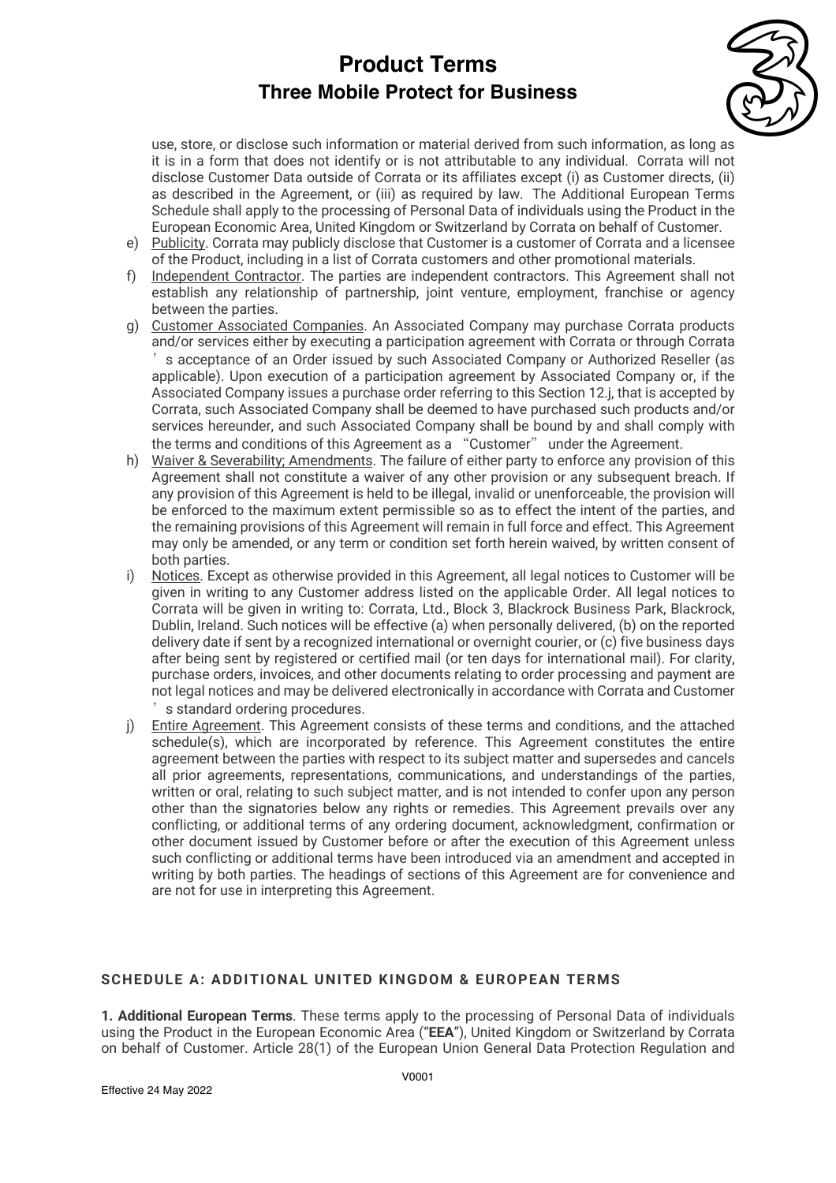

use, store, or disclose such information or material derived from such information, as long as it is in a form that does not identify or is not attributable to any individual. Corrata will not disclose Customer Data outside of Corrata or its affiliates except (i) as Customer directs, (ii) as described in the Agreement, or (iii) as required by law. The Additional European Terms Schedule shall apply to the processing of Personal Data of individuals using the Product in the European Economic Area, United Kingdom or Switzerland by Corrata on behalf of Customer.

- e) Publicity. Corrata may publicly disclose that Customer is a customer of Corrata and a licensee of the Product, including in a list of Corrata customers and other promotional materials.
- f) Independent Contractor. The parties are independent contractors. This Agreement shall not establish any relationship of partnership, joint venture, employment, franchise or agency between the parties.
- g) Customer Associated Companies. An Associated Company may purchase Corrata products and/or services either by executing a participation agreement with Corrata or through Corrata 's acceptance of an Order issued by such Associated Company or Authorized Reseller (as applicable). Upon execution of a participation agreement by Associated Company or, if the Associated Company issues a purchase order referring to this Section 12.j, that is accepted by Corrata, such Associated Company shall be deemed to have purchased such products and/or services hereunder, and such Associated Company shall be bound by and shall comply with the terms and conditions of this Agreement as a "Customer" under the Agreement.
- h) Waiver & Severability; Amendments. The failure of either party to enforce any provision of this Agreement shall not constitute a waiver of any other provision or any subsequent breach. If any provision of this Agreement is held to be illegal, invalid or unenforceable, the provision will be enforced to the maximum extent permissible so as to effect the intent of the parties, and the remaining provisions of this Agreement will remain in full force and effect. This Agreement may only be amended, or any term or condition set forth herein waived, by written consent of both parties.
- i) Notices. Except as otherwise provided in this Agreement, all legal notices to Customer will be given in writing to any Customer address listed on the applicable Order. All legal notices to Corrata will be given in writing to: Corrata, Ltd., Block 3, Blackrock Business Park, Blackrock, Dublin, Ireland. Such notices will be effective (a) when personally delivered, (b) on the reported delivery date if sent by a recognized international or overnight courier, or (c) five business days after being sent by registered or certified mail (or ten days for international mail). For clarity, purchase orders, invoices, and other documents relating to order processing and payment are not legal notices and may be delivered electronically in accordance with Corrata and Customer 's standard ordering procedures.
- j) Entire Agreement. This Agreement consists of these terms and conditions, and the attached schedule(s), which are incorporated by reference. This Agreement constitutes the entire agreement between the parties with respect to its subject matter and supersedes and cancels all prior agreements, representations, communications, and understandings of the parties, written or oral, relating to such subject matter, and is not intended to confer upon any person other than the signatories below any rights or remedies. This Agreement prevails over any conflicting, or additional terms of any ordering document, acknowledgment, confirmation or other document issued by Customer before or after the execution of this Agreement unless such conflicting or additional terms have been introduced via an amendment and accepted in writing by both parties. The headings of sections of this Agreement are for convenience and are not for use in interpreting this Agreement.

### **SCHEDULE A: ADDITIONAL UNITED KINGDOM & EUROPEAN TERMS**

**1. Additional European Terms**. These terms apply to the processing of Personal Data of individuals using the Product in the European Economic Area ("**EEA**"), United Kingdom or Switzerland by Corrata on behalf of Customer. Article 28(1) of the European Union General Data Protection Regulation and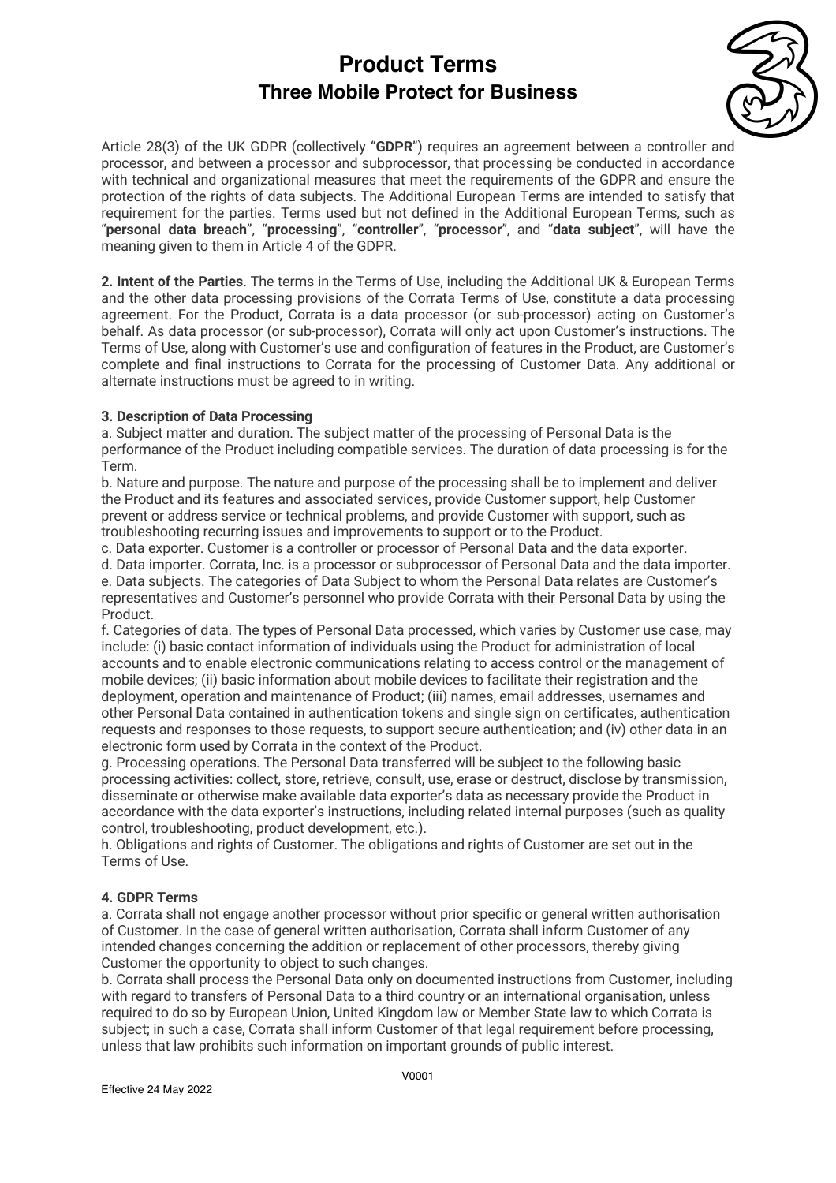

Article 28(3) of the UK GDPR (collectively "**GDPR**") requires an agreement between a controller and processor, and between a processor and subprocessor, that processing be conducted in accordance with technical and organizational measures that meet the requirements of the GDPR and ensure the protection of the rights of data subjects. The Additional European Terms are intended to satisfy that requirement for the parties. Terms used but not defined in the Additional European Terms, such as "**personal data breach**", "**processing**", "**controller**", "**processor**", and "**data subject**", will have the meaning given to them in Article 4 of the GDPR.

**2. Intent of the Parties**. The terms in the Terms of Use, including the Additional UK & European Terms and the other data processing provisions of the Corrata Terms of Use, constitute a data processing agreement. For the Product, Corrata is a data processor (or sub-processor) acting on Customer's behalf. As data processor (or sub-processor), Corrata will only act upon Customer's instructions. The Terms of Use, along with Customer's use and configuration of features in the Product, are Customer's complete and final instructions to Corrata for the processing of Customer Data. Any additional or alternate instructions must be agreed to in writing.

### **3. Description of Data Processing**

a. Subject matter and duration. The subject matter of the processing of Personal Data is the performance of the Product including compatible services. The duration of data processing is for the Term.

b. Nature and purpose. The nature and purpose of the processing shall be to implement and deliver the Product and its features and associated services, provide Customer support, help Customer prevent or address service or technical problems, and provide Customer with support, such as troubleshooting recurring issues and improvements to support or to the Product.

c. Data exporter. Customer is a controller or processor of Personal Data and the data exporter.

d. Data importer. Corrata, Inc. is a processor or subprocessor of Personal Data and the data importer. e. Data subjects. The categories of Data Subject to whom the Personal Data relates are Customer's representatives and Customer's personnel who provide Corrata with their Personal Data by using the Product.

f. Categories of data. The types of Personal Data processed, which varies by Customer use case, may include: (i) basic contact information of individuals using the Product for administration of local accounts and to enable electronic communications relating to access control or the management of mobile devices; (ii) basic information about mobile devices to facilitate their registration and the deployment, operation and maintenance of Product; (iii) names, email addresses, usernames and other Personal Data contained in authentication tokens and single sign on certificates, authentication requests and responses to those requests, to support secure authentication; and (iv) other data in an electronic form used by Corrata in the context of the Product.

g. Processing operations. The Personal Data transferred will be subject to the following basic processing activities: collect, store, retrieve, consult, use, erase or destruct, disclose by transmission, disseminate or otherwise make available data exporter's data as necessary provide the Product in accordance with the data exporter's instructions, including related internal purposes (such as quality control, troubleshooting, product development, etc.).

h. Obligations and rights of Customer. The obligations and rights of Customer are set out in the Terms of Use.

### **4. GDPR Terms**

a. Corrata shall not engage another processor without prior specific or general written authorisation of Customer. In the case of general written authorisation, Corrata shall inform Customer of any intended changes concerning the addition or replacement of other processors, thereby giving Customer the opportunity to object to such changes.

b. Corrata shall process the Personal Data only on documented instructions from Customer, including with regard to transfers of Personal Data to a third country or an international organisation, unless required to do so by European Union, United Kingdom law or Member State law to which Corrata is subject; in such a case, Corrata shall inform Customer of that legal requirement before processing, unless that law prohibits such information on important grounds of public interest.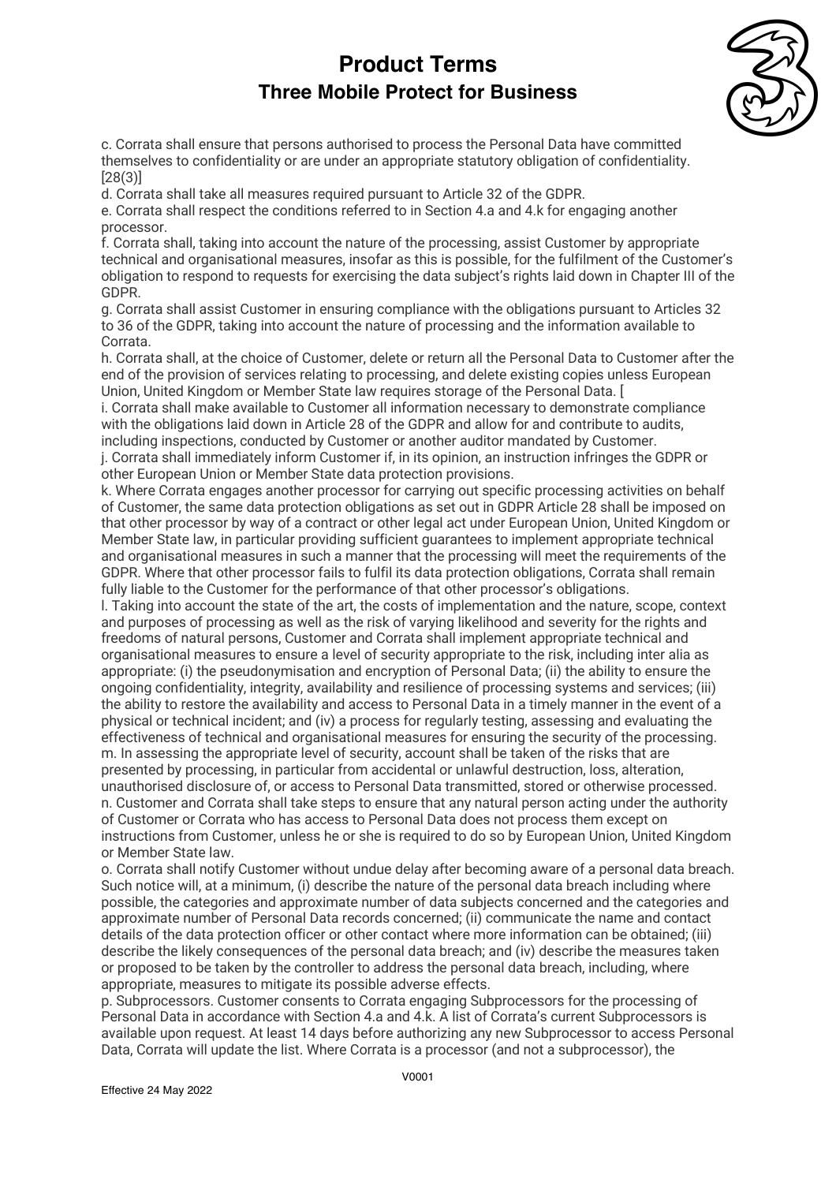

c. Corrata shall ensure that persons authorised to process the Personal Data have committed themselves to confidentiality or are under an appropriate statutory obligation of confidentiality. [28(3)]

d. Corrata shall take all measures required pursuant to Article 32 of the GDPR.

e. Corrata shall respect the conditions referred to in Section 4.a and 4.k for engaging another processor.

f. Corrata shall, taking into account the nature of the processing, assist Customer by appropriate technical and organisational measures, insofar as this is possible, for the fulfilment of the Customer's obligation to respond to requests for exercising the data subject's rights laid down in Chapter III of the GDPR.

g. Corrata shall assist Customer in ensuring compliance with the obligations pursuant to Articles 32 to 36 of the GDPR, taking into account the nature of processing and the information available to Corrata.

h. Corrata shall, at the choice of Customer, delete or return all the Personal Data to Customer after the end of the provision of services relating to processing, and delete existing copies unless European Union, United Kingdom or Member State law requires storage of the Personal Data. [

i. Corrata shall make available to Customer all information necessary to demonstrate compliance with the obligations laid down in Article 28 of the GDPR and allow for and contribute to audits, including inspections, conducted by Customer or another auditor mandated by Customer. j. Corrata shall immediately inform Customer if, in its opinion, an instruction infringes the GDPR or

other European Union or Member State data protection provisions.

k. Where Corrata engages another processor for carrying out specific processing activities on behalf of Customer, the same data protection obligations as set out in GDPR Article 28 shall be imposed on that other processor by way of a contract or other legal act under European Union, United Kingdom or Member State law, in particular providing sufficient guarantees to implement appropriate technical and organisational measures in such a manner that the processing will meet the requirements of the GDPR. Where that other processor fails to fulfil its data protection obligations, Corrata shall remain fully liable to the Customer for the performance of that other processor's obligations.

l. Taking into account the state of the art, the costs of implementation and the nature, scope, context and purposes of processing as well as the risk of varying likelihood and severity for the rights and freedoms of natural persons, Customer and Corrata shall implement appropriate technical and organisational measures to ensure a level of security appropriate to the risk, including inter alia as appropriate: (i) the pseudonymisation and encryption of Personal Data; (ii) the ability to ensure the ongoing confidentiality, integrity, availability and resilience of processing systems and services; (iii) the ability to restore the availability and access to Personal Data in a timely manner in the event of a physical or technical incident; and (iv) a process for regularly testing, assessing and evaluating the effectiveness of technical and organisational measures for ensuring the security of the processing. m. In assessing the appropriate level of security, account shall be taken of the risks that are presented by processing, in particular from accidental or unlawful destruction, loss, alteration, unauthorised disclosure of, or access to Personal Data transmitted, stored or otherwise processed. n. Customer and Corrata shall take steps to ensure that any natural person acting under the authority of Customer or Corrata who has access to Personal Data does not process them except on instructions from Customer, unless he or she is required to do so by European Union, United Kingdom or Member State law.

o. Corrata shall notify Customer without undue delay after becoming aware of a personal data breach. Such notice will, at a minimum, (i) describe the nature of the personal data breach including where possible, the categories and approximate number of data subjects concerned and the categories and approximate number of Personal Data records concerned; (ii) communicate the name and contact details of the data protection officer or other contact where more information can be obtained; (iii) describe the likely consequences of the personal data breach; and (iv) describe the measures taken or proposed to be taken by the controller to address the personal data breach, including, where appropriate, measures to mitigate its possible adverse effects.

p. Subprocessors. Customer consents to Corrata engaging Subprocessors for the processing of Personal Data in accordance with Section 4.a and 4.k. A list of Corrata's current Subprocessors is available upon request. At least 14 days before authorizing any new Subprocessor to access Personal Data, Corrata will update the list. Where Corrata is a processor (and not a subprocessor), the